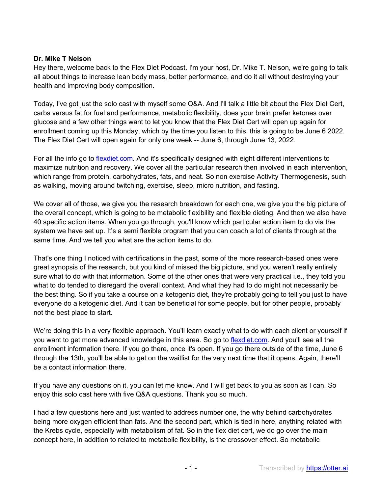## **Dr. Mike T Nelson**

Hey there, welcome back to the Flex Diet Podcast. I'm your host, Dr. Mike T. Nelson, we're going to talk all about things to increase lean body mass, better performance, and do it all without destroying your health and improving body composition.

Today, I've got just the solo cast with myself some Q&A. And I'll talk a little bit about the Flex Diet Cert, carbs versus fat for fuel and performance, metabolic flexibility, does your brain prefer ketones over glucose and a few other things want to let you know that the Flex Diet Cert will open up again for enrollment coming up this Monday, which by the time you listen to this, this is going to be June 6 2022. The Flex Diet Cert will open again for only one week -- June 6, through June 13, 2022.

For all the info go to flexdiet.com. And it's specifically designed with eight different interventions to maximize nutrition and recovery. We cover all the particular research then involved in each intervention, which range from protein, carbohydrates, fats, and neat. So non exercise Activity Thermogenesis, such as walking, moving around twitching, exercise, sleep, micro nutrition, and fasting.

We cover all of those, we give you the research breakdown for each one, we give you the big picture of the overall concept, which is going to be metabolic flexibility and flexible dieting. And then we also have 40 specific action items. When you go through, you'll know which particular action item to do via the system we have set up. It's a semi flexible program that you can coach a lot of clients through at the same time. And we tell you what are the action items to do.

That's one thing I noticed with certifications in the past, some of the more research-based ones were great synopsis of the research, but you kind of missed the big picture, and you weren't really entirely sure what to do with that information. Some of the other ones that were very practical i.e., they told you what to do tended to disregard the overall context. And what they had to do might not necessarily be the best thing. So if you take a course on a ketogenic diet, they're probably going to tell you just to have everyone do a ketogenic diet. And it can be beneficial for some people, but for other people, probably not the best place to start.

We're doing this in a very flexible approach. You'll learn exactly what to do with each client or yourself if you want to get more advanced knowledge in this area. So go to flexdiet.com. And you'll see all the enrollment information there. If you go there, once it's open. If you go there outside of the time, June 6 through the 13th, you'll be able to get on the waitlist for the very next time that it opens. Again, there'll be a contact information there.

If you have any questions on it, you can let me know. And I will get back to you as soon as I can. So enjoy this solo cast here with five Q&A questions. Thank you so much.

I had a few questions here and just wanted to address number one, the why behind carbohydrates being more oxygen efficient than fats. And the second part, which is tied in here, anything related with the Krebs cycle, especially with metabolism of fat. So in the flex diet cert, we do go over the main concept here, in addition to related to metabolic flexibility, is the crossover effect. So metabolic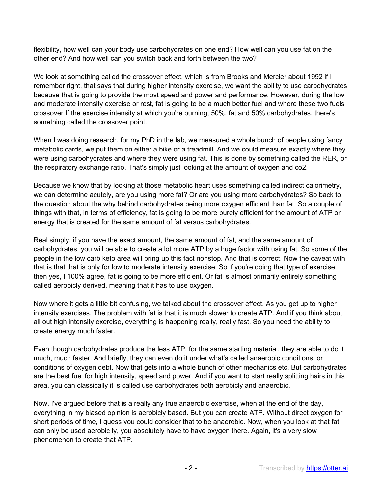flexibility, how well can your body use carbohydrates on one end? How well can you use fat on the other end? And how well can you switch back and forth between the two?

We look at something called the crossover effect, which is from Brooks and Mercier about 1992 if I remember right, that says that during higher intensity exercise, we want the ability to use carbohydrates because that is going to provide the most speed and power and performance. However, during the low and moderate intensity exercise or rest, fat is going to be a much better fuel and where these two fuels crossover If the exercise intensity at which you're burning, 50%, fat and 50% carbohydrates, there's something called the crossover point.

When I was doing research, for my PhD in the lab, we measured a whole bunch of people using fancy metabolic cards, we put them on either a bike or a treadmill. And we could measure exactly where they were using carbohydrates and where they were using fat. This is done by something called the RER, or the respiratory exchange ratio. That's simply just looking at the amount of oxygen and co2.

Because we know that by looking at those metabolic heart uses something called indirect calorimetry, we can determine acutely, are you using more fat? Or are you using more carbohydrates? So back to the question about the why behind carbohydrates being more oxygen efficient than fat. So a couple of things with that, in terms of efficiency, fat is going to be more purely efficient for the amount of ATP or energy that is created for the same amount of fat versus carbohydrates.

Real simply, if you have the exact amount, the same amount of fat, and the same amount of carbohydrates, you will be able to create a lot more ATP by a huge factor with using fat. So some of the people in the low carb keto area will bring up this fact nonstop. And that is correct. Now the caveat with that is that that is only for low to moderate intensity exercise. So if you're doing that type of exercise, then yes, I 100% agree, fat is going to be more efficient. Or fat is almost primarily entirely something called aerobicly derived, meaning that it has to use oxygen.

Now where it gets a little bit confusing, we talked about the crossover effect. As you get up to higher intensity exercises. The problem with fat is that it is much slower to create ATP. And if you think about all out high intensity exercise, everything is happening really, really fast. So you need the ability to create energy much faster.

Even though carbohydrates produce the less ATP, for the same starting material, they are able to do it much, much faster. And briefly, they can even do it under what's called anaerobic conditions, or conditions of oxygen debt. Now that gets into a whole bunch of other mechanics etc. But carbohydrates are the best fuel for high intensity, speed and power. And if you want to start really splitting hairs in this area, you can classically it is called use carbohydrates both aerobicly and anaerobic.

Now, I've argued before that is a really any true anaerobic exercise, when at the end of the day, everything in my biased opinion is aerobicly based. But you can create ATP. Without direct oxygen for short periods of time, I guess you could consider that to be anaerobic. Now, when you look at that fat can only be used aerobic ly, you absolutely have to have oxygen there. Again, it's a very slow phenomenon to create that ATP.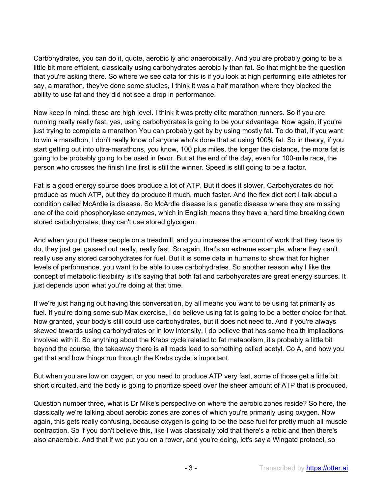Carbohydrates, you can do it, quote, aerobic ly and anaerobically. And you are probably going to be a little bit more efficient, classically using carbohydrates aerobic ly than fat. So that might be the question that you're asking there. So where we see data for this is if you look at high performing elite athletes for say, a marathon, they've done some studies, I think it was a half marathon where they blocked the ability to use fat and they did not see a drop in performance.

Now keep in mind, these are high level. I think it was pretty elite marathon runners. So if you are running really really fast, yes, using carbohydrates is going to be your advantage. Now again, if you're just trying to complete a marathon You can probably get by by using mostly fat. To do that, if you want to win a marathon, I don't really know of anyone who's done that at using 100% fat. So in theory, if you start getting out into ultra-marathons, you know, 100 plus miles, the longer the distance, the more fat is going to be probably going to be used in favor. But at the end of the day, even for 100-mile race, the person who crosses the finish line first is still the winner. Speed is still going to be a factor.

Fat is a good energy source does produce a lot of ATP. But it does it slower. Carbohydrates do not produce as much ATP, but they do produce it much, much faster. And the flex diet cert I talk about a condition called McArdle is disease. So McArdle disease is a genetic disease where they are missing one of the cold phosphorylase enzymes, which in English means they have a hard time breaking down stored carbohydrates, they can't use stored glycogen.

And when you put these people on a treadmill, and you increase the amount of work that they have to do, they just get gassed out really, really fast. So again, that's an extreme example, where they can't really use any stored carbohydrates for fuel. But it is some data in humans to show that for higher levels of performance, you want to be able to use carbohydrates. So another reason why I like the concept of metabolic flexibility is it's saying that both fat and carbohydrates are great energy sources. It just depends upon what you're doing at that time.

If we're just hanging out having this conversation, by all means you want to be using fat primarily as fuel. If you're doing some sub Max exercise, I do believe using fat is going to be a better choice for that. Now granted, your body's still could use carbohydrates, but it does not need to. And if you're always skewed towards using carbohydrates or in low intensity, I do believe that has some health implications involved with it. So anything about the Krebs cycle related to fat metabolism, it's probably a little bit beyond the course, the takeaway there is all roads lead to something called acetyl. Co A, and how you get that and how things run through the Krebs cycle is important.

But when you are low on oxygen, or you need to produce ATP very fast, some of those get a little bit short circuited, and the body is going to prioritize speed over the sheer amount of ATP that is produced.

Question number three, what is Dr Mike's perspective on where the aerobic zones reside? So here, the classically we're talking about aerobic zones are zones of which you're primarily using oxygen. Now again, this gets really confusing, because oxygen is going to be the base fuel for pretty much all muscle contraction. So if you don't believe this, like I was classically told that there's a robic and then there's also anaerobic. And that if we put you on a rower, and you're doing, let's say a Wingate protocol, so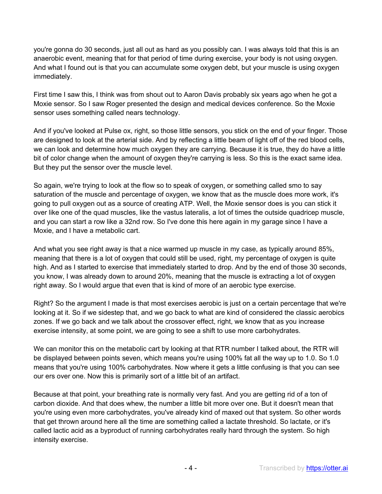you're gonna do 30 seconds, just all out as hard as you possibly can. I was always told that this is an anaerobic event, meaning that for that period of time during exercise, your body is not using oxygen. And what I found out is that you can accumulate some oxygen debt, but your muscle is using oxygen immediately.

First time I saw this, I think was from shout out to Aaron Davis probably six years ago when he got a Moxie sensor. So I saw Roger presented the design and medical devices conference. So the Moxie sensor uses something called nears technology.

And if you've looked at Pulse ox, right, so those little sensors, you stick on the end of your finger. Those are designed to look at the arterial side. And by reflecting a little beam of light off of the red blood cells, we can look and determine how much oxygen they are carrying. Because it is true, they do have a little bit of color change when the amount of oxygen they're carrying is less. So this is the exact same idea. But they put the sensor over the muscle level.

So again, we're trying to look at the flow so to speak of oxygen, or something called smo to say saturation of the muscle and percentage of oxygen, we know that as the muscle does more work, it's going to pull oxygen out as a source of creating ATP. Well, the Moxie sensor does is you can stick it over like one of the quad muscles, like the vastus lateralis, a lot of times the outside quadricep muscle, and you can start a row like a 32nd row. So I've done this here again in my garage since I have a Moxie, and I have a metabolic cart.

And what you see right away is that a nice warmed up muscle in my case, as typically around 85%, meaning that there is a lot of oxygen that could still be used, right, my percentage of oxygen is quite high. And as I started to exercise that immediately started to drop. And by the end of those 30 seconds, you know, I was already down to around 20%, meaning that the muscle is extracting a lot of oxygen right away. So I would argue that even that is kind of more of an aerobic type exercise.

Right? So the argument I made is that most exercises aerobic is just on a certain percentage that we're looking at it. So if we sidestep that, and we go back to what are kind of considered the classic aerobics zones. If we go back and we talk about the crossover effect, right, we know that as you increase exercise intensity, at some point, we are going to see a shift to use more carbohydrates.

We can monitor this on the metabolic cart by looking at that RTR number I talked about, the RTR will be displayed between points seven, which means you're using 100% fat all the way up to 1.0. So 1.0 means that you're using 100% carbohydrates. Now where it gets a little confusing is that you can see our ers over one. Now this is primarily sort of a little bit of an artifact.

Because at that point, your breathing rate is normally very fast. And you are getting rid of a ton of carbon dioxide. And that does whew, the number a little bit more over one. But it doesn't mean that you're using even more carbohydrates, you've already kind of maxed out that system. So other words that get thrown around here all the time are something called a lactate threshold. So lactate, or it's called lactic acid as a byproduct of running carbohydrates really hard through the system. So high intensity exercise.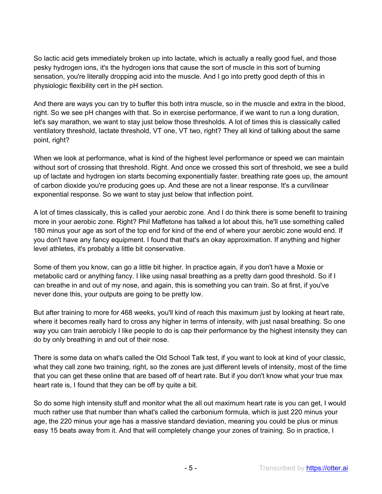So lactic acid gets immediately broken up into lactate, which is actually a really good fuel, and those pesky hydrogen ions, it's the hydrogen ions that cause the sort of muscle in this sort of burning sensation, you're literally dropping acid into the muscle. And I go into pretty good depth of this in physiologic flexibility cert in the pH section.

And there are ways you can try to buffer this both intra muscle, so in the muscle and extra in the blood, right. So we see pH changes with that. So in exercise performance, if we want to run a long duration, let's say marathon, we want to stay just below those thresholds. A lot of times this is classically called ventilatory threshold, lactate threshold, VT one, VT two, right? They all kind of talking about the same point, right?

When we look at performance, what is kind of the highest level performance or speed we can maintain without sort of crossing that threshold. Right. And once we crossed this sort of threshold, we see a build up of lactate and hydrogen ion starts becoming exponentially faster. breathing rate goes up, the amount of carbon dioxide you're producing goes up. And these are not a linear response. It's a curvilinear exponential response. So we want to stay just below that inflection point.

A lot of times classically, this is called your aerobic zone. And I do think there is some benefit to training more in your aerobic zone. Right? Phil Maffetone has talked a lot about this, he'll use something called 180 minus your age as sort of the top end for kind of the end of where your aerobic zone would end. If you don't have any fancy equipment. I found that that's an okay approximation. If anything and higher level athletes, it's probably a little bit conservative.

Some of them you know, can go a little bit higher. In practice again, if you don't have a Moxie or metabolic card or anything fancy. I like using nasal breathing as a pretty darn good threshold. So if I can breathe in and out of my nose, and again, this is something you can train. So at first, if you've never done this, your outputs are going to be pretty low.

But after training to more for 468 weeks, you'll kind of reach this maximum just by looking at heart rate, where it becomes really hard to cross any higher in terms of intensity, with just nasal breathing. So one way you can train aerobicly I like people to do is cap their performance by the highest intensity they can do by only breathing in and out of their nose.

There is some data on what's called the Old School Talk test, if you want to look at kind of your classic, what they call zone two training, right, so the zones are just different levels of intensity, most of the time that you can get these online that are based off of heart rate. But if you don't know what your true max heart rate is, I found that they can be off by quite a bit.

So do some high intensity stuff and monitor what the all out maximum heart rate is you can get, I would much rather use that number than what's called the carbonium formula, which is just 220 minus your age, the 220 minus your age has a massive standard deviation, meaning you could be plus or minus easy 15 beats away from it. And that will completely change your zones of training. So in practice, I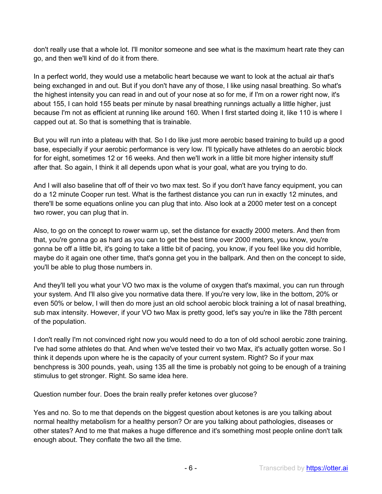don't really use that a whole lot. I'll monitor someone and see what is the maximum heart rate they can go, and then we'll kind of do it from there.

In a perfect world, they would use a metabolic heart because we want to look at the actual air that's being exchanged in and out. But if you don't have any of those, I like using nasal breathing. So what's the highest intensity you can read in and out of your nose at so for me, if I'm on a rower right now, it's about 155, I can hold 155 beats per minute by nasal breathing runnings actually a little higher, just because I'm not as efficient at running like around 160. When I first started doing it, like 110 is where I capped out at. So that is something that is trainable.

But you will run into a plateau with that. So I do like just more aerobic based training to build up a good base, especially if your aerobic performance is very low. I'll typically have athletes do an aerobic block for for eight, sometimes 12 or 16 weeks. And then we'll work in a little bit more higher intensity stuff after that. So again, I think it all depends upon what is your goal, what are you trying to do.

And I will also baseline that off of their vo two max test. So if you don't have fancy equipment, you can do a 12 minute Cooper run test. What is the farthest distance you can run in exactly 12 minutes, and there'll be some equations online you can plug that into. Also look at a 2000 meter test on a concept two rower, you can plug that in.

Also, to go on the concept to rower warm up, set the distance for exactly 2000 meters. And then from that, you're gonna go as hard as you can to get the best time over 2000 meters, you know, you're gonna be off a little bit, it's going to take a little bit of pacing, you know, if you feel like you did horrible, maybe do it again one other time, that's gonna get you in the ballpark. And then on the concept to side, you'll be able to plug those numbers in.

And they'll tell you what your VO two max is the volume of oxygen that's maximal, you can run through your system. And I'll also give you normative data there. If you're very low, like in the bottom, 20% or even 50% or below, I will then do more just an old school aerobic block training a lot of nasal breathing, sub max intensity. However, if your VO two Max is pretty good, let's say you're in like the 78th percent of the population.

I don't really I'm not convinced right now you would need to do a ton of old school aerobic zone training. I've had some athletes do that. And when we've tested their vo two Max, it's actually gotten worse. So I think it depends upon where he is the capacity of your current system. Right? So if your max benchpress is 300 pounds, yeah, using 135 all the time is probably not going to be enough of a training stimulus to get stronger. Right. So same idea here.

Question number four. Does the brain really prefer ketones over glucose?

Yes and no. So to me that depends on the biggest question about ketones is are you talking about normal healthy metabolism for a healthy person? Or are you talking about pathologies, diseases or other states? And to me that makes a huge difference and it's something most people online don't talk enough about. They conflate the two all the time.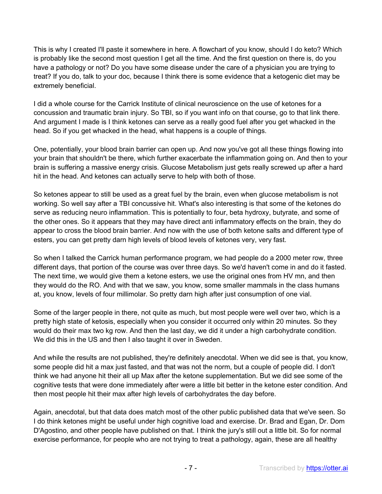This is why I created I'll paste it somewhere in here. A flowchart of you know, should I do keto? Which is probably like the second most question I get all the time. And the first question on there is, do you have a pathology or not? Do you have some disease under the care of a physician you are trying to treat? If you do, talk to your doc, because I think there is some evidence that a ketogenic diet may be extremely beneficial.

I did a whole course for the Carrick Institute of clinical neuroscience on the use of ketones for a concussion and traumatic brain injury. So TBI, so if you want info on that course, go to that link there. And argument I made is I think ketones can serve as a really good fuel after you get whacked in the head. So if you get whacked in the head, what happens is a couple of things.

One, potentially, your blood brain barrier can open up. And now you've got all these things flowing into your brain that shouldn't be there, which further exacerbate the inflammation going on. And then to your brain is suffering a massive energy crisis. Glucose Metabolism just gets really screwed up after a hard hit in the head. And ketones can actually serve to help with both of those.

So ketones appear to still be used as a great fuel by the brain, even when glucose metabolism is not working. So well say after a TBI concussive hit. What's also interesting is that some of the ketones do serve as reducing neuro inflammation. This is potentially to four, beta hydroxy, butyrate, and some of the other ones. So it appears that they may have direct anti inflammatory effects on the brain, they do appear to cross the blood brain barrier. And now with the use of both ketone salts and different type of esters, you can get pretty darn high levels of blood levels of ketones very, very fast.

So when I talked the Carrick human performance program, we had people do a 2000 meter row, three different days, that portion of the course was over three days. So we'd haven't come in and do it fasted. The next time, we would give them a ketone esters, we use the original ones from HV mn, and then they would do the RO. And with that we saw, you know, some smaller mammals in the class humans at, you know, levels of four millimolar. So pretty darn high after just consumption of one vial.

Some of the larger people in there, not quite as much, but most people were well over two, which is a pretty high state of ketosis, especially when you consider it occurred only within 20 minutes. So they would do their max two kg row. And then the last day, we did it under a high carbohydrate condition. We did this in the US and then I also taught it over in Sweden.

And while the results are not published, they're definitely anecdotal. When we did see is that, you know, some people did hit a max just fasted, and that was not the norm, but a couple of people did. I don't think we had anyone hit their all up Max after the ketone supplementation. But we did see some of the cognitive tests that were done immediately after were a little bit better in the ketone ester condition. And then most people hit their max after high levels of carbohydrates the day before.

Again, anecdotal, but that data does match most of the other public published data that we've seen. So I do think ketones might be useful under high cognitive load and exercise. Dr. Brad and Egan, Dr. Dom D'Agostino, and other people have published on that. I think the jury's still out a little bit. So for normal exercise performance, for people who are not trying to treat a pathology, again, these are all healthy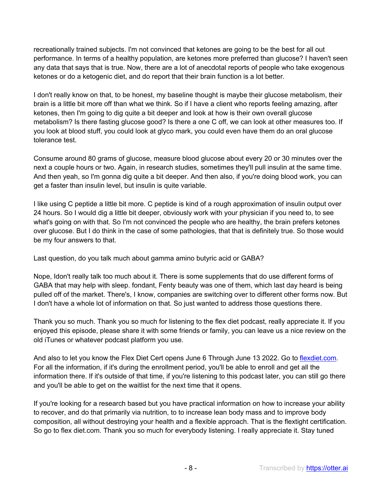recreationally trained subjects. I'm not convinced that ketones are going to be the best for all out performance. In terms of a healthy population, are ketones more preferred than glucose? I haven't seen any data that says that is true. Now, there are a lot of anecdotal reports of people who take exogenous ketones or do a ketogenic diet, and do report that their brain function is a lot better.

I don't really know on that, to be honest, my baseline thought is maybe their glucose metabolism, their brain is a little bit more off than what we think. So if I have a client who reports feeling amazing, after ketones, then I'm going to dig quite a bit deeper and look at how is their own overall glucose metabolism? Is there fasting glucose good? Is there a one C off, we can look at other measures too. If you look at blood stuff, you could look at glyco mark, you could even have them do an oral glucose tolerance test.

Consume around 80 grams of glucose, measure blood glucose about every 20 or 30 minutes over the next a couple hours or two. Again, in research studies, sometimes they'll pull insulin at the same time. And then yeah, so I'm gonna dig quite a bit deeper. And then also, if you're doing blood work, you can get a faster than insulin level, but insulin is quite variable.

I like using C peptide a little bit more. C peptide is kind of a rough approximation of insulin output over 24 hours. So I would dig a little bit deeper, obviously work with your physician if you need to, to see what's going on with that. So I'm not convinced the people who are healthy, the brain prefers ketones over glucose. But I do think in the case of some pathologies, that that is definitely true. So those would be my four answers to that.

Last question, do you talk much about gamma amino butyric acid or GABA?

Nope, Idon't really talk too much about it. There is some supplements that do use different forms of GABA that may help with sleep. fondant, Fenty beauty was one of them, which last day heard is being pulled off of the market. There's, I know, companies are switching over to different other forms now. But I don't have a whole lot of information on that. So just wanted to address those questions there.

Thank you so much. Thank you so much for listening to the flex diet podcast, really appreciate it. If you enjoyed this episode, please share it with some friends or family, you can leave us a nice review on the old iTunes or whatever podcast platform you use.

And also to let you know the Flex Diet Cert opens June 6 Through June 13 2022. Go to flexdiet.com. For all the information, if it's during the enrollment period, you'll be able to enroll and get all the information there. If it's outside of that time, if you're listening to this podcast later, you can still go there and you'll be able to get on the waitlist for the next time that it opens.

If you're looking for a research based but you have practical information on how to increase your ability to recover, and do that primarily via nutrition, to to increase lean body mass and to improve body composition, all without destroying your health and a flexible approach. That is the flextight certification. So go to flex diet.com. Thank you so much for everybody listening. I really appreciate it. Stay tuned